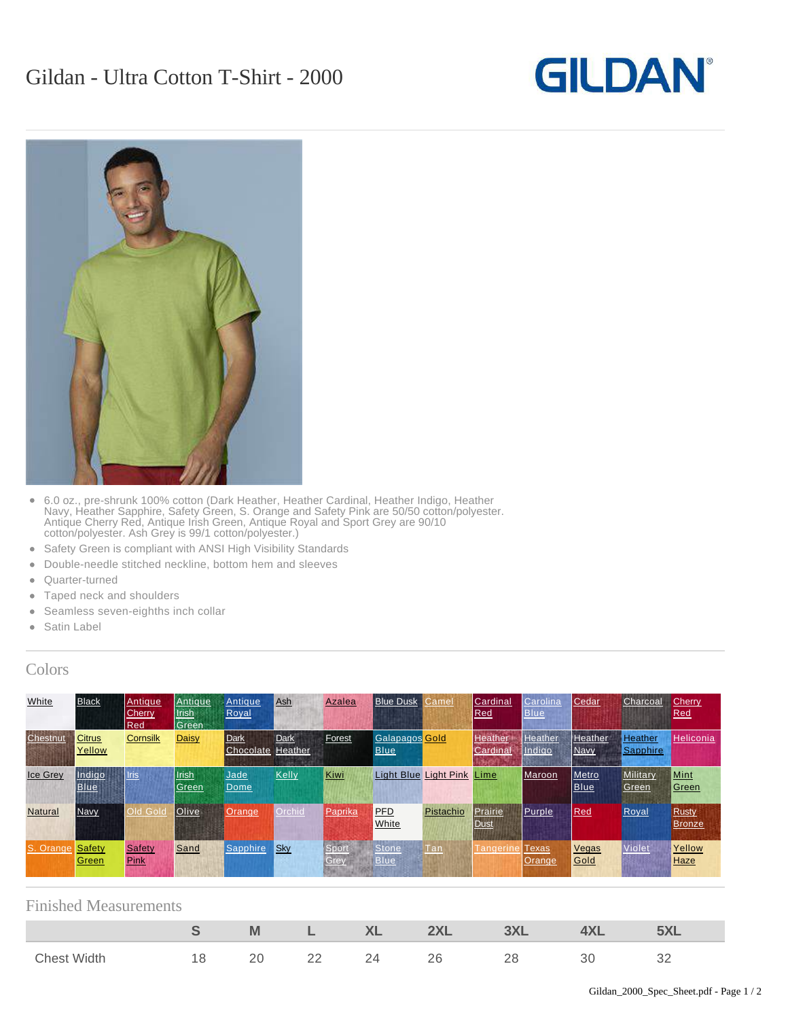## **GILDAN**



- $\bullet$ 6.0 oz., pre-shrunk 100% cotton (Dark Heather, Heather Cardinal, Heather Indigo, Heather Navy, Heather Sapphire, Safety Green, S. Orange and Safety Pink are 50/50 cotton/polyester. Antique Cherry Red, Antique Irish Green, Antique Royal and Sport Grey are 90/10 cotton/polyester. Ash Grey is 99/1 cotton/polyester.)
- Safety Green is compliant with ANSI High Visibility Standards
- Double-needle stitched neckline, bottom hem and sleeves
- Quarter-turned
- Taped neck and shoulders
- Seamless seven-eighths inch collar
- Satin Label

## Colors

| White           | <b>Black</b>            | <b>Antique</b><br>Cherry<br>Red | Antique<br><b>Irish</b><br>Green | Antique<br>Royal                 | Ash         | Azalea        | <b>Blue Dusk</b>                     | amel:     | Cardinal<br>Red               | Carolina<br><b>Blue</b>       | Cedar                         | Charcoal                   | Cherry<br>Red          |
|-----------------|-------------------------|---------------------------------|----------------------------------|----------------------------------|-------------|---------------|--------------------------------------|-----------|-------------------------------|-------------------------------|-------------------------------|----------------------------|------------------------|
| Chestnut        | <b>Citrus</b><br>Yellow | Cornsilk                        | <b>Daisy</b>                     | Dark<br><b>Chocolate Heather</b> | <b>Dark</b> | Forest        | <b>Galapagos</b> Gold<br><b>Blue</b> |           | <b>Heather</b><br>Cardina     | <b>Heather</b><br>Indigo      | <b>Heather</b><br><b>Navy</b> | <b>Heather</b><br>Sapphire | <b>Heliconia</b>       |
| <b>Ice Grey</b> | Indigo<br><b>Blue</b>   | <b>Iris</b>                     | Irish<br>Green                   | Jade<br>Dome                     | Kelly       | Kiwi          | Light Blue Light Pink                |           | Lime                          | Maroon                        | Metro<br><b>Blue</b>          | <b>Military</b><br>Green   | Mint<br>Green          |
| <b>Natural</b>  | <b>Navy</b>             | Old Gold                        | <b>Olive</b>                     | <b>Orange</b>                    | Orchid      | Paprika       | <b>PFD</b><br>White                  | Pistachio | <b>Prairie</b><br><b>Dust</b> | <b>Purple</b>                 | Red                           | Royal                      | <b>Rusty</b><br>Bronze |
| S. Orange       | Safety<br>Green         | <b>Safety</b><br>Pink           | Sand                             | Sapphire                         | Sky         | Sport<br>Grey | Stone<br>Blue                        | Tan       | Tangerine                     | <b>Texas</b><br><b>Orange</b> | Vegas<br>Gold                 | Violet                     | Yellow<br>Haze         |

## Finished Measurements

|                    |        | M        |                 | V <sub>1</sub><br>$\sqrt{1}$ | nvi          | $-11$<br>ט כי |    |
|--------------------|--------|----------|-----------------|------------------------------|--------------|---------------|----|
| Width<br>$ch$ $ch$ | O<br>U | ∩∩<br>ムし | $\cap$<br>$- -$ | $-$                          | റമ<br>$\sim$ | ΩO<br>__      | ◡▵ |